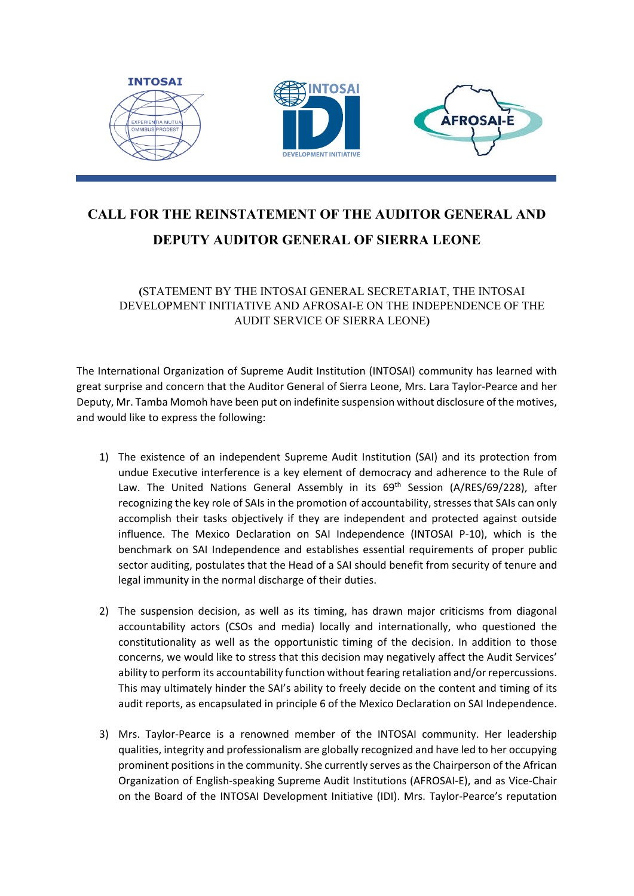

## **CALL FOR THE REINSTATEMENT OF THE AUDITOR GENERAL AND DEPUTY AUDITOR GENERAL OF SIERRA LEONE**

**(**STATEMENT BY THE INTOSAI GENERAL SECRETARIAT, THE INTOSAI DEVELOPMENT INITIATIVE AND AFROSAI-E ON THE INDEPENDENCE OF THE AUDIT SERVICE OF SIERRA LEONE**)**

The International Organization of Supreme Audit Institution (INTOSAI) community has learned with great surprise and concern that the Auditor General of Sierra Leone, Mrs. Lara Taylor-Pearce and her Deputy, Mr. Tamba Momoh have been put on indefinite suspension without disclosure of the motives, and would like to express the following:

- 1) The existence of an independent Supreme Audit Institution (SAI) and its protection from undue Executive interference is a key element of democracy and adherence to the Rule of Law. The United Nations General Assembly in its 69<sup>th</sup> Session (A/RES/69/228), after recognizing the key role of SAIs in the promotion of accountability, stresses that SAIs can only accomplish their tasks objectively if they are independent and protected against outside influence. The Mexico Declaration on SAI Independence (INTOSAI P-10), which is the benchmark on SAI Independence and establishes essential requirements of proper public sector auditing, postulates that the Head of a SAI should benefit from security of tenure and legal immunity in the normal discharge of their duties.
- 2) The suspension decision, as well as its timing, has drawn major criticisms from diagonal accountability actors (CSOs and media) locally and internationally, who questioned the constitutionality as well as the opportunistic timing of the decision. In addition to those concerns, we would like to stress that this decision may negatively affect the Audit Services' ability to perform its accountability function without fearing retaliation and/or repercussions. This may ultimately hinder the SAI's ability to freely decide on the content and timing of its audit reports, as encapsulated in principle 6 of the Mexico Declaration on SAI Independence.
- 3) Mrs. Taylor-Pearce is a renowned member of the INTOSAI community. Her leadership qualities, integrity and professionalism are globally recognized and have led to her occupying prominent positions in the community. She currently serves as the Chairperson of the African Organization of English-speaking Supreme Audit Institutions (AFROSAI-E), and as Vice-Chair on the Board of the INTOSAI Development Initiative (IDI). Mrs. Taylor-Pearce's reputation